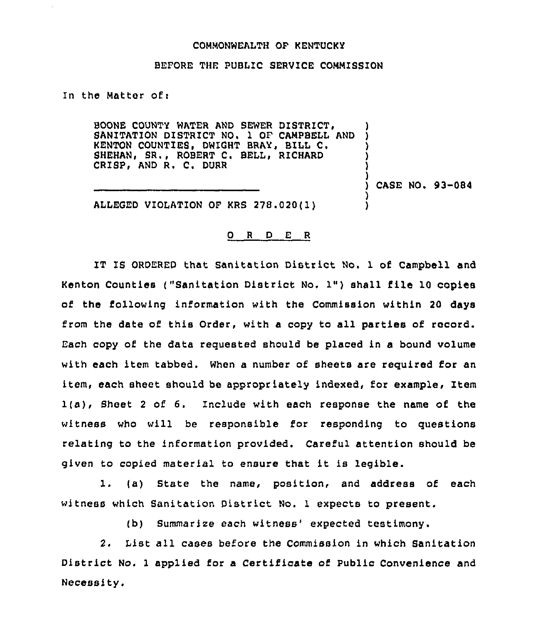## COMMONWEALTH OF KENTUCKY

## BEFORE THE PUBLIC SERVICE COMMISSION

In the Matter of  $\mathbf r$ 

BOONE COUNTY WATER AND SEWER DISTRICT, SANITATION DISTRICT NO. 1 OF CAMPBELL AND KENTON COUNTIES, DWIGHT BRAY, BILL C. SHEHAN, SR., ROBERT C. BELL, RICHARD CRISP, AND R. C. DURR

) CASE NO. 93-084

) )

) ) )

) )

ALLEGED VIOLATION OF KRS 278.020(l)

## O R D E R

IT IS ORDERED that Sanitation District No. 1 of Campbell and Kenton Counties ("Sanitation District No. 1") shall file <sup>10</sup> copies of the following information with the Commission within 20 days from the date of this Order, with a copy to all parties of record. Each copy of the data requested should be placed in a bound volume with each item tabbed. When a number of sheets are required for an item, each sheet should be appropriately indexed, for example, Item 1(a), Sheet <sup>2</sup> of 6. Include with each response the name of the witness who will be responsible for responding to questions relating to the information provided. Careful attention should be given to copied material to ensure that it is legible.

1. (a) State the name, position, and address of each witness which Sanitation District No. 1 expects to present.

(b) Summarize each witness' expected testimony.

2. List all cases before the Commission in which Sanitation District No. <sup>1</sup> applied for a Certificate of Public Convenience and Necessity.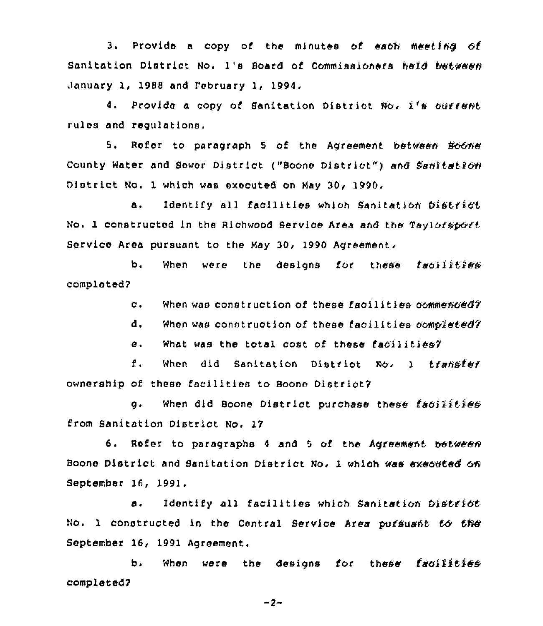3. Provide a copy of the minutes of each meeting of Sanitation District No. 1's Board of Commissioners held between January 1, 1988 and February 1, 1994.

4. Provide a copy of Sanitation District No. 1's ourrent. rulos and regulations.

5. Refer to paragraph 5 of the Agreement between Boone County Water and Sewer District ("Boone District") and Sanitation District No. 1 which was executed on Hay 30, 1990,

a. Identify all facilities which Sanitation bistrict No. 1 constructed in the Richwood Service Area and the Taylorsport service Area pursuant to the May 30, 1990 Agreement.

b. When were the designs for these faoilities completed?

c. When was construction of these facilities commenced?

d. When was construction of these facilities  $60$ mpleted?

What was the total cost of these facilities?  $e<sub>1</sub>$ 

f. When did Sanitation District No. 1 transfer ownership of these facilities to Boone District?

g. When did Boone District purchase these facilities from Sanitation District No, 17

6. Refer to paragraphs 4 and 5 of the Agreement between Boone District and Sanitation District No. 1 which was executed on September 16, 1991.

a. Identify all facilities which Sanitation District No. 1 constructed in the Central Service Area pursuant to the September 16, 1991 Agreement.

b. When were the designs for these facilities completed?

 $-2-$